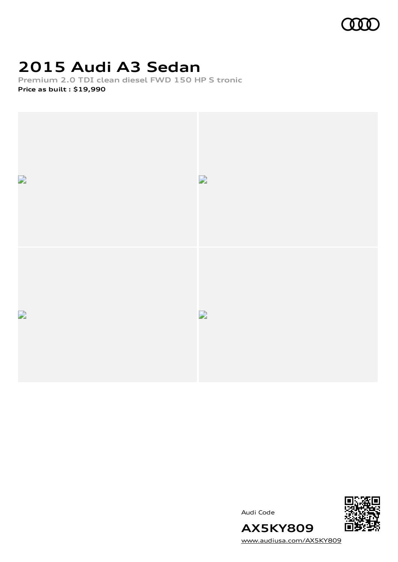

## **2015 Audi A3 Sedan**

**Premium 2.0 TDI clean diesel FWD 150 HP S tronic**

**Price as built [:](#page-9-0) \$19,990**







[www.audiusa.com/AX5KY809](https://www.audiusa.com/AX5KY809)

**AX5KY809**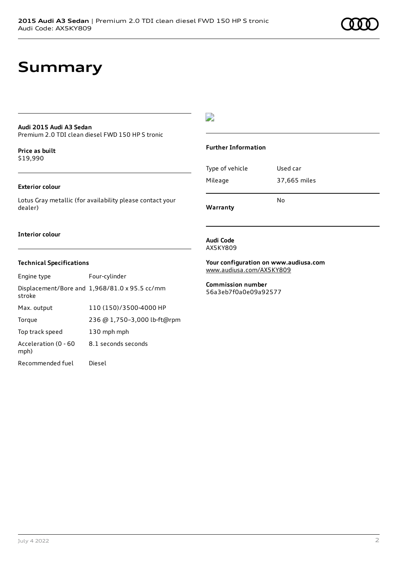### **Summary**

### **Audi 2015 Audi A3 Sedan**

Premium 2.0 TDI clean diesel FWD 150 HP S tronic

#### **Price as buil[t](#page-9-0)** \$19,990

#### **Exterior colour**

Lotus Gray metallic (for availability please contact your dealer)

#### **Interior colour**

### **Technical Specifications**

| Engine type                  | Four-cylinder                                 |
|------------------------------|-----------------------------------------------|
| stroke                       | Displacement/Bore and 1,968/81.0 x 95.5 cc/mm |
| Max. output                  | 110 (150)/3500-4000 HP                        |
| Torque                       | 236 @ 1,750-3,000 lb-ft@rpm                   |
| Top track speed              | 130 mph mph                                   |
| Acceleration (0 - 60<br>mph) | 8.1 seconds seconds                           |
| Recommended fuel             | Diesel                                        |

### $\overline{\phantom{a}}$

#### **Further Information**

|                 | N٥           |
|-----------------|--------------|
| Mileage         | 37,665 miles |
| Type of vehicle | Used car     |

**Warranty**

#### **Audi Code** AX5KY809

**Your configuration on www.audiusa.com** [www.audiusa.com/AX5KY809](https://www.audiusa.com/AX5KY809)

**Commission number** 56a3eb7f0a0e09a92577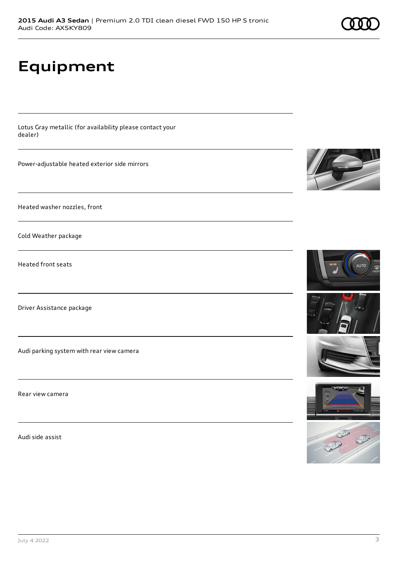## **Equipment**

Lotus Gray metallic (for availability please contact your dealer)

Power-adjustable heated exterior side mirrors

Heated washer nozzles, front

Cold Weather package

Heated front seats

Driver Assistance package

Audi parking system with rear view camera

Rear view camera

Audi side assist









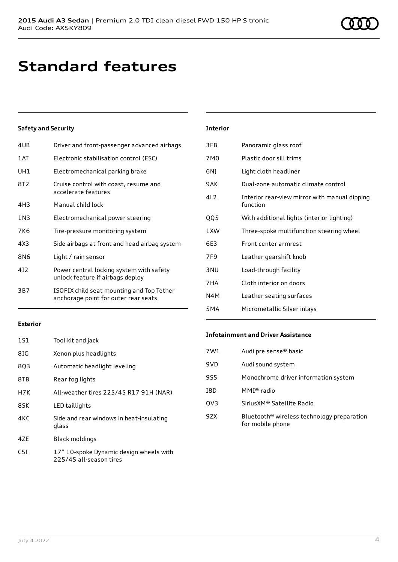### **Standard features**

### **Safety and Security**

| 4UB             | Driver and front-passenger advanced airbags                                       |
|-----------------|-----------------------------------------------------------------------------------|
| 1 AT            | Electronic stabilisation control (ESC)                                            |
| UH1             | Electromechanical parking brake                                                   |
| 8T2             | Cruise control with coast, resume and<br>accelerate features                      |
| 4H3             | Manual child lock                                                                 |
| 1 N 3           | Electromechanical power steering                                                  |
| 7K6             | Tire-pressure monitoring system                                                   |
| 4X3             | Side airbags at front and head airbag system                                      |
| 8N <sub>6</sub> | Light / rain sensor                                                               |
| 412             | Power central locking system with safety<br>unlock feature if airbags deploy      |
| 3B7             | ISOFIX child seat mounting and Top Tether<br>anchorage point for outer rear seats |
|                 |                                                                                   |

| <b>Interior</b> |                                                           |
|-----------------|-----------------------------------------------------------|
| 3FB             | Panoramic glass roof                                      |
| 7M <sub>0</sub> | Plastic door sill trims                                   |
| 6N)             | Light cloth headliner                                     |
| 9AK             | Dual-zone automatic climate control                       |
| 4L2             | Interior rear-view mirror with manual dipping<br>function |
| QQ5             | With additional lights (interior lighting)                |
| 1XW             | Three-spoke multifunction steering wheel                  |
| 6E3             | Front center armrest                                      |
| 7F9             | Leather gearshift knob                                    |
| 3 <sub>NU</sub> | Load-through facility                                     |
| 7HA             | Cloth interior on doors                                   |
| N4M             | Leather seating surfaces                                  |
| 5MA             | Micrometallic Silver inlays                               |

#### **Exterior**

| 1S1 | Tool kit and jack                                                  |
|-----|--------------------------------------------------------------------|
| 8IG | Xenon plus headlights                                              |
| 8Q3 | Automatic headlight leveling                                       |
| 8TB | Rear fog lights                                                    |
| H7K | All-weather tires 225/45 R17 91H (NAR)                             |
| 8SK | LED taillights                                                     |
| 4KC | Side and rear windows in heat-insulating<br>glass                  |
| 47F | Black moldings                                                     |
| C5I | 17" 10-spoke Dynamic design wheels with<br>225/45 all-season tires |

#### **Infotainment and Driver Assistance**

| Audi pre sense <sup>®</sup> basic                                          |
|----------------------------------------------------------------------------|
| Audi sound system                                                          |
| Monochrome driver information system                                       |
| MMI® radio                                                                 |
| SiriusXM® Satellite Radio                                                  |
| Bluetooth <sup>®</sup> wireless technology preparation<br>for mobile phone |
|                                                                            |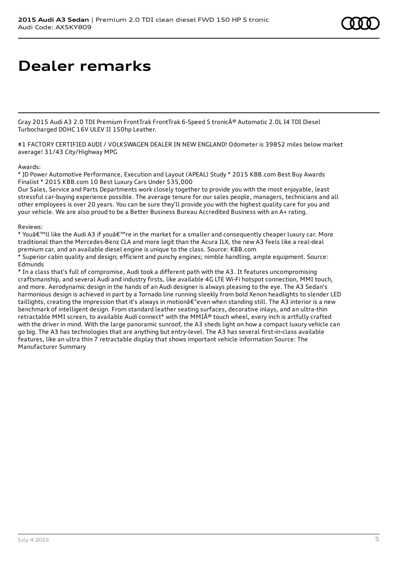# **Dealer remarks**

Gray 2015 Audi A3 2.0 TDI Premium FrontTrak FrontTrak 6-Speed S tronic® Automatic 2.0L I4 TDI Diesel Turbocharged DOHC 16V ULEV II 150hp Leather.

#1 FACTORY CERTIFIED AUDI / VOLKSWAGEN DEALER IN NEW ENGLAND! Odometer is 39852 miles below market average! 31/43 City/Highway MPG

#### Awards:

\* JD Power Automotive Performance, Execution and Layout (APEAL) Study \* 2015 KBB.com Best Buy Awards Finalist \* 2015 KBB.com 10 Best Luxury Cars Under \$35,000

Our Sales, Service and Parts Departments work closely together to provide you with the most enjoyable, least stressful car-buying experience possible. The average tenure for our sales people, managers, technicians and all other employees is over 20 years. You can be sure they'll provide you with the highest quality care for you and your vehicle. We are also proud to be a Better Business Bureau Accredited Business with an A+ rating.

### Reviews:

\* Youâ€<sup>™</sup>ll like the Audi A3 if youâ€<sup>™</sup>re in the market for a smaller and consequently cheaper luxury car. More traditional than the Mercedes-Benz CLA and more legit than the Acura ILX, the new A3 feels like a real-deal premium car, and an available diesel engine is unique to the class. Source: KBB.com

\* Superior cabin quality and design; efficient and punchy engines; nimble handling, ample equipment. Source: Edmunds

\* In a class that's full of compromise, Audi took a different path with the A3. It features uncompromising craftsmanship, and several Audi and industry firsts, like available 4G LTE Wi-Fi hotspot connection, MMI touch, and more. Aerodynamic design in the hands of an Audi designer is always pleasing to the eye. The A3 Sedan's harmonious design is achieved in part by a Tornado line running sleekly from bold Xenon headlights to slender LED taillights, creating the impression that it's always in motionâ€"even when standing still. The A3 interior is a new benchmark of intelligent design. From standard leather seating surfaces, decorative inlays, and an ultra-thin retractable MMI screen, to available Audi connect\* with the MMI® touch wheel, every inch is artfully crafted with the driver in mind. With the large panoramic sunroof, the A3 sheds light on how a compact luxury vehicle can go big. The A3 has technologies that are anything but entry-level. The A3 has several first-in-class available features, like an ultra thin 7 retractable display that shows important vehicle information Source: The Manufacturer Summary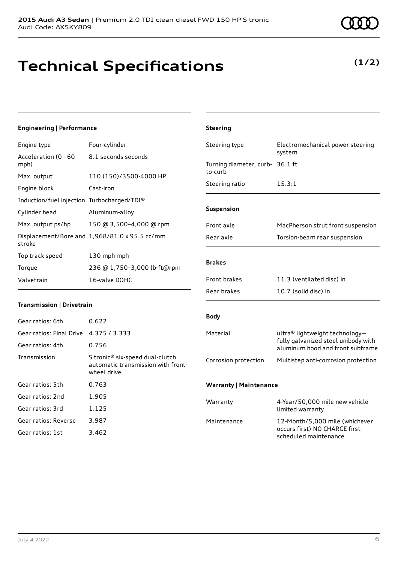### **Technical Specifications**

July 4 2022 6

### **Engineering | Performance**

Engine type Four-cylinder

| Acceleration (0 - 60<br>mph)               | 8.1 seconds seconds                           |
|--------------------------------------------|-----------------------------------------------|
| Max. output                                | 110 (150)/3500-4000 HP                        |
| Engine block                               | Cast-iron                                     |
| Induction/fuel injection Turbocharged/TDI® |                                               |
| Cylinder head                              | Aluminum-alloy                                |
| Max. output ps/hp                          | 150 @ 3,500-4,000 @ rpm                       |
| stroke                                     | Displacement/Bore and 1,968/81.0 x 95.5 cc/mm |
| Top track speed                            | 130 mph mph                                   |
| Torque                                     | 236 @ 1,750-3,000 lb-ft@rpm                   |
| Valvetrain                                 | 16-valve DOHC                                 |

### **Transmission | Drivetrain**

| Gear ratios: 6th         | 0.622                                                                                            |
|--------------------------|--------------------------------------------------------------------------------------------------|
| Gear ratios: Final Drive | 4.375 / 3.333                                                                                    |
| Gear ratios: 4th         | 0.756                                                                                            |
| Transmission             | S tronic <sup>®</sup> six-speed dual-clutch<br>automatic transmission with front-<br>wheel drive |
| Gear ratios: 5th         | 0.763                                                                                            |
| Gear ratios: 2nd         | 1.905                                                                                            |
| Gear ratios: 3rd         | 1.125                                                                                            |
| Gear ratios: Reverse     | 3.987                                                                                            |
| Gear ratios: 1st         | 3.462                                                                                            |

| <b>Steering</b>                    |                                                                                                           |
|------------------------------------|-----------------------------------------------------------------------------------------------------------|
| Steering type                      | Electromechanical power steering<br>system                                                                |
| Turning diameter, curb-<br>to-curb | 36.1 ft                                                                                                   |
| Steering ratio                     | 15.3:1                                                                                                    |
| Suspension                         |                                                                                                           |
| Front axle                         | MacPherson strut front suspension                                                                         |
| Rear axle                          | Torsion-beam rear suspension                                                                              |
| <b>Brakes</b>                      |                                                                                                           |
| <b>Front brakes</b>                | 11.3 (ventilated disc) in                                                                                 |
| Rear brakes                        | 10.7 (solid disc) in                                                                                      |
| <b>Body</b>                        |                                                                                                           |
| Material                           | ultra® lightweight technology-<br>fully galvanized steel unibody with<br>aluminum hood and front subframe |
| Corrosion protection               | Multistep anti-corrosion protection                                                                       |
| <b>Warranty   Maintenance</b>      |                                                                                                           |
| Warranty                           | 4-Year/50,000 mile new vehicle<br>limited warranty                                                        |
| Maintenance                        | 12-Month/5,000 mile (whichever<br>occurs first) NO CHARGE first                                           |

scheduled maintenance

**(1/2)**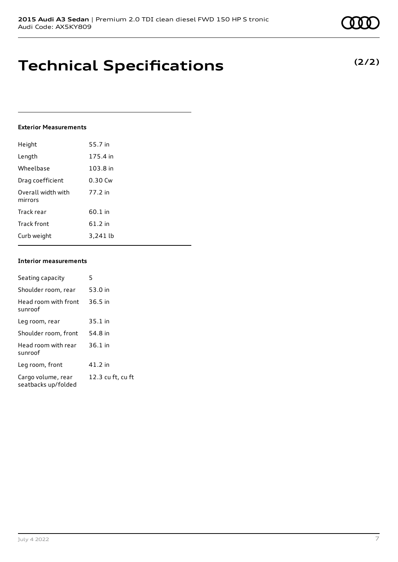### **Technical Specifications**

### **Exterior Measurements**

| Height                        | 55.7 in  |
|-------------------------------|----------|
| Length                        | 175.4 in |
| Wheelbase                     | 103.8 in |
| Drag coefficient              | 0.30 Cw  |
| Overall width with<br>mirrors | 77.2 in  |
| Track rear                    | 60.1 in  |
| <b>Track front</b>            | 61.2 in  |
| Curb weight                   | 3.241 lb |

### **Interior measurements**

| Seating capacity                          | 5                 |
|-------------------------------------------|-------------------|
| Shoulder room, rear                       | 53.0 in           |
| Head room with front<br>sunroof           | $36.5$ in         |
| Leg room, rear                            | $35.1$ in         |
| Shoulder room, front                      | 54.8 in           |
| Head room with rear<br>sunroof            | $36.1$ in         |
| Leg room, front                           | 41.2 in           |
| Cargo volume, rear<br>seatbacks up/folded | 12.3 cu ft, cu ft |

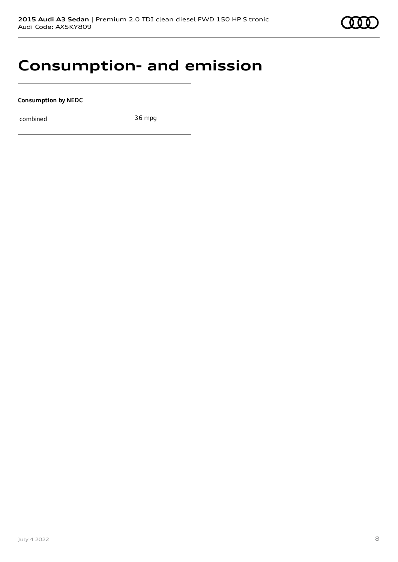### **Consumption- and emission**

**Consumption by NEDC**

combined 36 mpg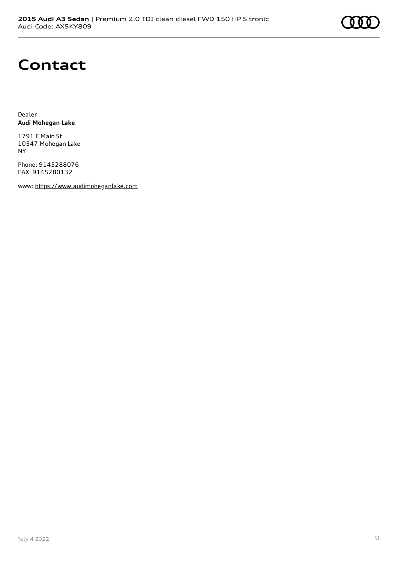

### **Contact**

Dealer **Audi Mohegan Lake**

1791 E Main St 10547 Mohegan Lake NY

Phone: 9145288076 FAX: 9145280132

www: [https://www.audimoheganlake.com](https://www.audimoheganlake.com/)